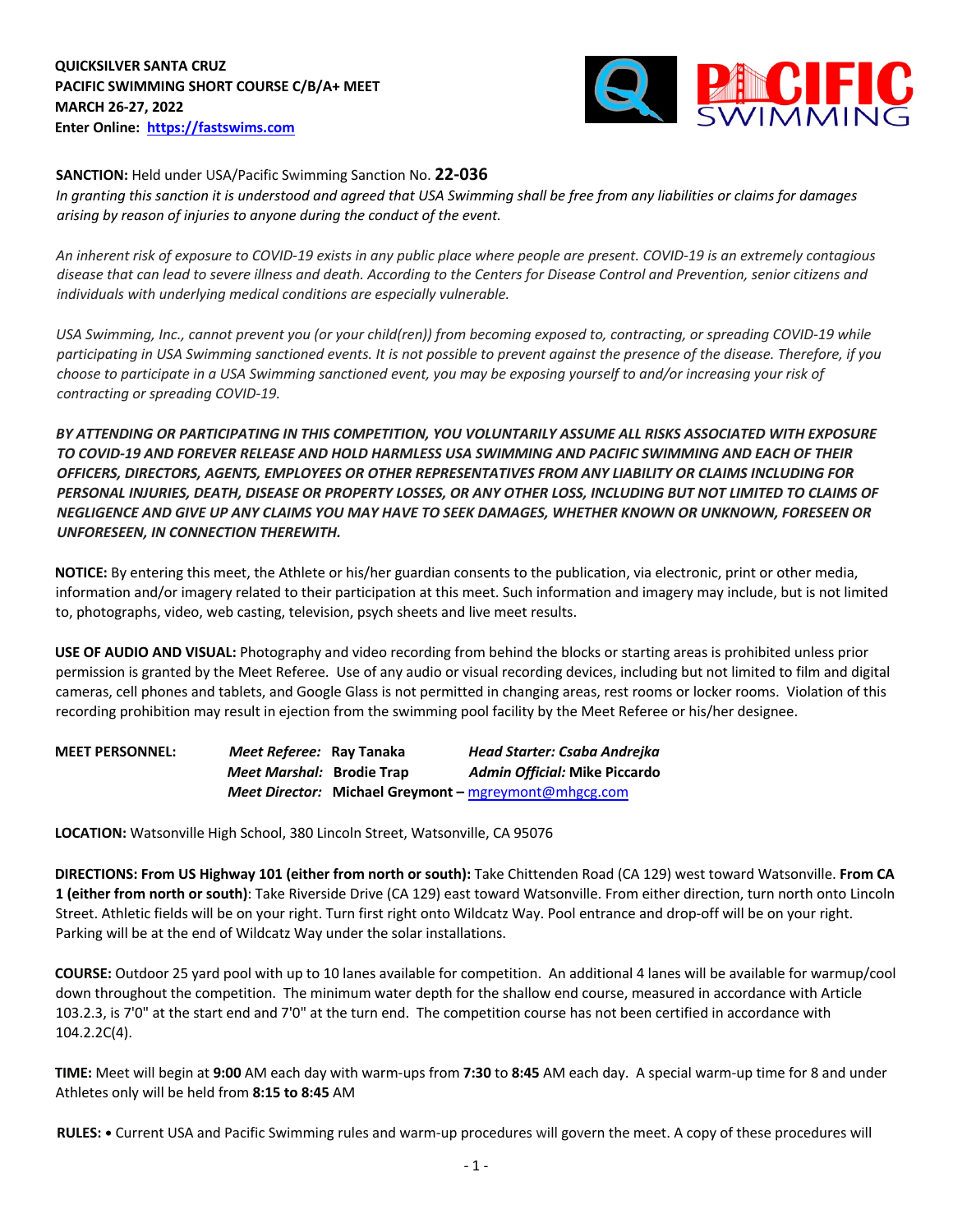**QUICKSILVER SANTA CRUZ PACIFIC SWIMMING SHORT COURSE C/B/A+ MEET MARCH 26-27, 2022 Enter Online: https://fastswims.com**



**SANCTION:** Held under USA/Pacific Swimming Sanction No. **22-036**

*In granting this sanction it is understood and agreed that USA Swimming shall be free from any liabilities or claims for damages arising by reason of injuries to anyone during the conduct of the event.* 

*An inherent risk of exposure to COVID-19 exists in any public place where people are present. COVID-19 is an extremely contagious disease that can lead to severe illness and death. According to the Centers for Disease Control and Prevention, senior citizens and individuals with underlying medical conditions are especially vulnerable.*

*USA Swimming, Inc., cannot prevent you (or your child(ren)) from becoming exposed to, contracting, or spreading COVID-19 while participating in USA Swimming sanctioned events. It is not possible to prevent against the presence of the disease. Therefore, if you choose to participate in a USA Swimming sanctioned event, you may be exposing yourself to and/or increasing your risk of contracting or spreading COVID-19.*

*BY ATTENDING OR PARTICIPATING IN THIS COMPETITION, YOU VOLUNTARILY ASSUME ALL RISKS ASSOCIATED WITH EXPOSURE TO COVID-19 AND FOREVER RELEASE AND HOLD HARMLESS USA SWIMMING AND PACIFIC SWIMMING AND EACH OF THEIR OFFICERS, DIRECTORS, AGENTS, EMPLOYEES OR OTHER REPRESENTATIVES FROM ANY LIABILITY OR CLAIMS INCLUDING FOR PERSONAL INJURIES, DEATH, DISEASE OR PROPERTY LOSSES, OR ANY OTHER LOSS, INCLUDING BUT NOT LIMITED TO CLAIMS OF NEGLIGENCE AND GIVE UP ANY CLAIMS YOU MAY HAVE TO SEEK DAMAGES, WHETHER KNOWN OR UNKNOWN, FORESEEN OR UNFORESEEN, IN CONNECTION THEREWITH.*

**NOTICE:** By entering this meet, the Athlete or his/her guardian consents to the publication, via electronic, print or other media, information and/or imagery related to their participation at this meet. Such information and imagery may include, but is not limited to, photographs, video, web casting, television, psych sheets and live meet results.

**USE OF AUDIO AND VISUAL:** Photography and video recording from behind the blocks or starting areas is prohibited unless prior permission is granted by the Meet Referee. Use of any audio or visual recording devices, including but not limited to film and digital cameras, cell phones and tablets, and Google Glass is not permitted in changing areas, rest rooms or locker rooms. Violation of this recording prohibition may result in ejection from the swimming pool facility by the Meet Referee or his/her designee.

| <b>MEET PERSONNEL:</b> | Meet Referee: Ray Tanaka  | Head Starter: Csaba Andrejka                          |
|------------------------|---------------------------|-------------------------------------------------------|
|                        | Meet Marshal: Brodie Trap | Admin Official: Mike Piccardo                         |
|                        |                           | Meet Director: Michael Greymont - mgreymont@mhgcg.com |

**LOCATION:** Watsonville High School, 380 Lincoln Street, Watsonville, CA 95076

**DIRECTIONS: From US Highway 101 (either from north or south):** Take Chittenden Road (CA 129) west toward Watsonville. **From CA 1 (either from north or south)**: Take Riverside Drive (CA 129) east toward Watsonville. From either direction, turn north onto Lincoln Street. Athletic fields will be on your right. Turn first right onto Wildcatz Way. Pool entrance and drop-off will be on your right. Parking will be at the end of Wildcatz Way under the solar installations.

**COURSE:** Outdoor 25 yard pool with up to 10 lanes available for competition.An additional 4 lanes will be available for warmup/cool down throughout the competition. The minimum water depth for the shallow end course, measured in accordance with Article 103.2.3, is 7'0" at the start end and 7'0" at the turn end. The competition course has not been certified in accordance with 104.2.2C(4).

**TIME:** Meet will begin at **9:00** AM each day with warm-ups from **7:30** to **8:45** AM each day. A special warm-up time for 8 and under Athletes only will be held from **8:15 to 8:45** AM

**RULES: •** Current USA and Pacific Swimming rules and warm-up procedures will govern the meet. A copy of these procedures will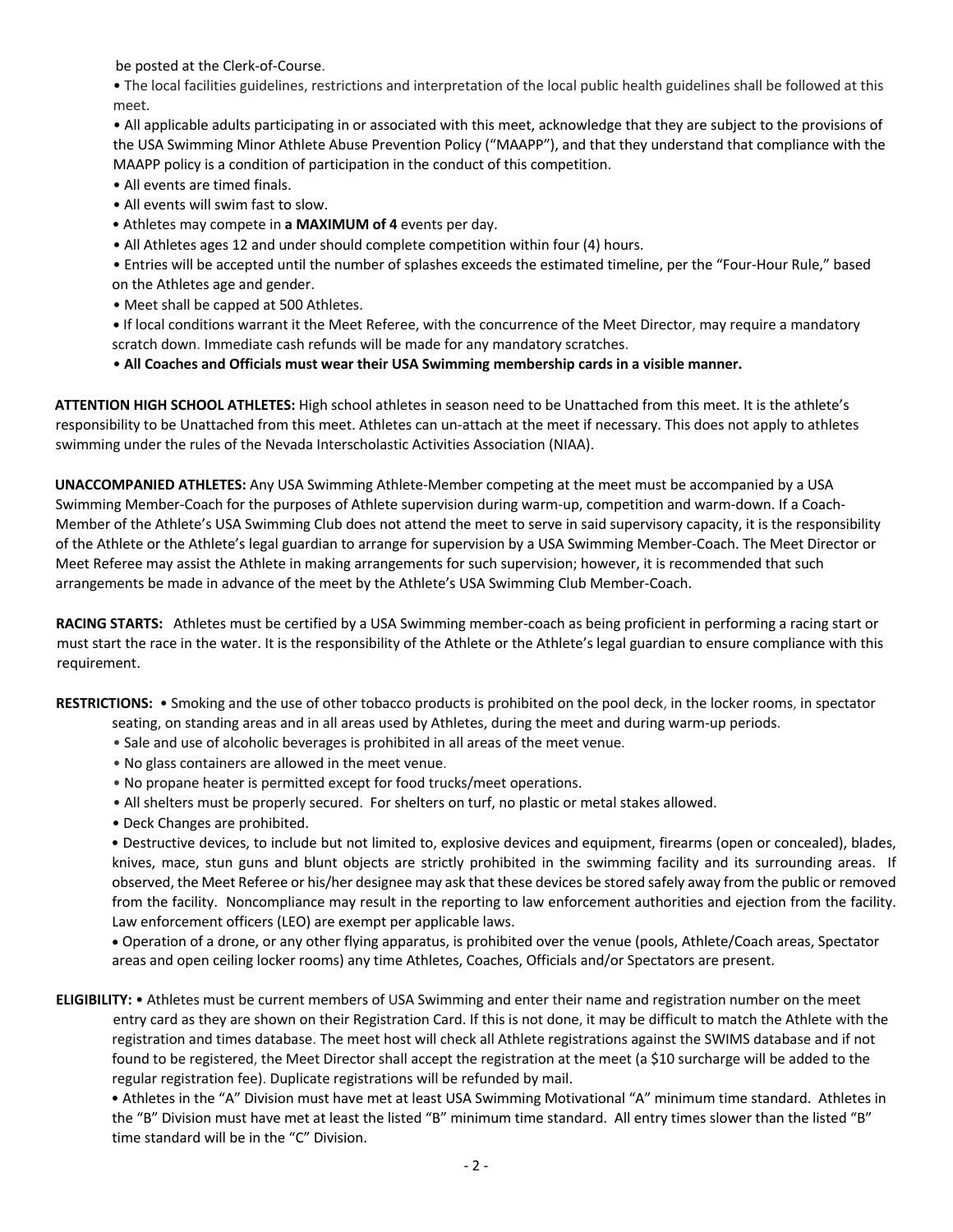be posted at the Clerk-of-Course.

 • The local facilities guidelines, restrictions and interpretation of the local public health guidelines shall be followed at this meet.

 • All applicable adults participating in or associated with this meet, acknowledge that they are subject to the provisions of the USA Swimming Minor Athlete Abuse Prevention Policy ("MAAPP"), and that they understand that compliance with the MAAPP policy is a condition of participation in the conduct of this competition.

- All events are timed finals.
- All events will swim fast to slow.
- Athletes may compete in **a MAXIMUM of 4** events per day.
- All Athletes ages 12 and under should complete competition within four (4) hours.

• Entries will be accepted until the number of splashes exceeds the estimated timeline, per the "Four-Hour Rule," based on the Athletes age and gender.

- Meet shall be capped at 500 Athletes.
- **•** If local conditions warrant it the Meet Referee, with the concurrence of the Meet Director, may require a mandatory scratch down. Immediate cash refunds will be made for any mandatory scratches.
- **All Coaches and Officials must wear their USA Swimming membership cards in a visible manner.**

**ATTENTION HIGH SCHOOL ATHLETES:** High school athletes in season need to be Unattached from this meet. It is the athlete's responsibility to be Unattached from this meet. Athletes can un-attach at the meet if necessary. This does not apply to athletes swimming under the rules of the Nevada Interscholastic Activities Association (NIAA).

**UNACCOMPANIED ATHLETES:** Any USA Swimming Athlete-Member competing at the meet must be accompanied by a USA Swimming Member-Coach for the purposes of Athlete supervision during warm-up, competition and warm-down. If a Coach-Member of the Athlete's USA Swimming Club does not attend the meet to serve in said supervisory capacity, it is the responsibility of the Athlete or the Athlete's legal guardian to arrange for supervision by a USA Swimming Member-Coach. The Meet Director or Meet Referee may assist the Athlete in making arrangements for such supervision; however, it is recommended that such arrangements be made in advance of the meet by the Athlete's USA Swimming Club Member-Coach.

**RACING STARTS:** Athletes must be certified by a USA Swimming member-coach as being proficient in performing a racing start or must start the race in the water. It is the responsibility of the Athlete or the Athlete's legal guardian to ensure compliance with this requirement.

**RESTRICTIONS:** • Smoking and the use of other tobacco products is prohibited on the pool deck, in the locker rooms, in spectator seating, on standing areas and in all areas used by Athletes, during the meet and during warm-up periods.

- Sale and use of alcoholic beverages is prohibited in all areas of the meet venue.
- No glass containers are allowed in the meet venue.
- No propane heater is permitted except for food trucks/meet operations.
- All shelters must be properly secured. For shelters on turf, no plastic or metal stakes allowed.
- Deck Changes are prohibited.

• Destructive devices, to include but not limited to, explosive devices and equipment, firearms (open or concealed), blades, knives, mace, stun guns and blunt objects are strictly prohibited in the swimming facility and its surrounding areas. If observed, the Meet Referee or his/her designee may ask that these devices be stored safely away from the public or removed from the facility. Noncompliance may result in the reporting to law enforcement authorities and ejection from the facility. Law enforcement officers (LEO) are exempt per applicable laws.

• Operation of a drone, or any other flying apparatus, is prohibited over the venue (pools, Athlete/Coach areas, Spectator areas and open ceiling locker rooms) any time Athletes, Coaches, Officials and/or Spectators are present.

**ELIGIBILITY:** • Athletes must be current members of USA Swimming and enter their name and registration number on the meet entry card as they are shown on their Registration Card. If this is not done, it may be difficult to match the Athlete with the registration and times database. The meet host will check all Athlete registrations against the SWIMS database and if not found to be registered, the Meet Director shall accept the registration at the meet (a \$10 surcharge will be added to the regular registration fee). Duplicate registrations will be refunded by mail.

• Athletes in the "A" Division must have met at least USA Swimming Motivational "A" minimum time standard. Athletes in the "B" Division must have met at least the listed "B" minimum time standard. All entry times slower than the listed "B" time standard will be in the "C" Division.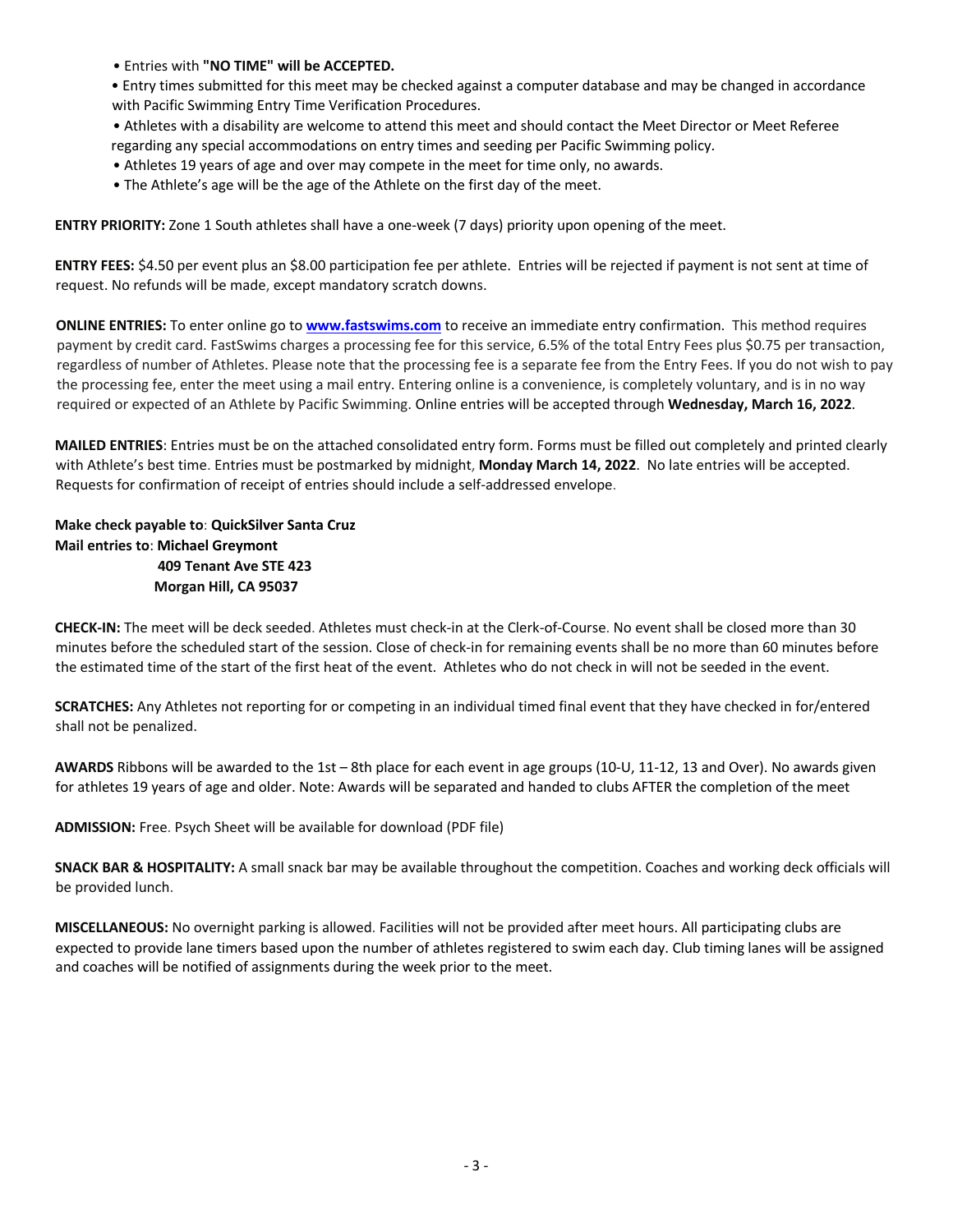- Entries with **"NO TIME" will be ACCEPTED.**
- Entry times submitted for this meet may be checked against a computer database and may be changed in accordance with Pacific Swimming Entry Time Verification Procedures.
- Athletes with a disability are welcome to attend this meet and should contact the Meet Director or Meet Referee regarding any special accommodations on entry times and seeding per Pacific Swimming policy.
- Athletes 19 years of age and over may compete in the meet for time only, no awards.
- The Athlete's age will be the age of the Athlete on the first day of the meet.

**ENTRY PRIORITY:** Zone 1 South athletes shall have a one-week (7 days) priority upon opening of the meet.

**ENTRY FEES:** \$4.50 per event plus an \$8.00 participation fee per athlete. Entries will be rejected if payment is not sent at time of request. No refunds will be made, except mandatory scratch downs.

**ONLINE ENTRIES:** To enter online go to **www.fastswims.com** to receive an immediate entry confirmation. This method requires payment by credit card. FastSwims charges a processing fee for this service, 6.5% of the total Entry Fees plus \$0.75 per transaction, regardless of number of Athletes. Please note that the processing fee is a separate fee from the Entry Fees. If you do not wish to pay the processing fee, enter the meet using a mail entry. Entering online is a convenience, is completely voluntary, and is in no way required or expected of an Athlete by Pacific Swimming. Online entries will be accepted through **Wednesday, March 16, 2022**.

**MAILED ENTRIES**: Entries must be on the attached consolidated entry form. Forms must be filled out completely and printed clearly with Athlete's best time. Entries must be postmarked by midnight, **Monday March 14, 2022**. No late entries will be accepted. Requests for confirmation of receipt of entries should include a self-addressed envelope.

## **Make check payable to**: **QuickSilver Santa Cruz Mail entries to**: **Michael Greymont 409 Tenant Ave STE 423 Morgan Hill, CA 95037**

**CHECK-IN:** The meet will be deck seeded. Athletes must check-in at the Clerk-of-Course. No event shall be closed more than 30 minutes before the scheduled start of the session. Close of check-in for remaining events shall be no more than 60 minutes before the estimated time of the start of the first heat of the event. Athletes who do not check in will not be seeded in the event.

**SCRATCHES:** Any Athletes not reporting for or competing in an individual timed final event that they have checked in for/entered shall not be penalized.

**AWARDS** Ribbons will be awarded to the 1st – 8th place for each event in age groups (10-U, 11-12, 13 and Over). No awards given for athletes 19 years of age and older. Note: Awards will be separated and handed to clubs AFTER the completion of the meet

**ADMISSION:** Free. Psych Sheet will be available for download (PDF file)

**SNACK BAR & HOSPITALITY:** A small snack bar may be available throughout the competition. Coaches and working deck officials will be provided lunch.

**MISCELLANEOUS:** No overnight parking is allowed. Facilities will not be provided after meet hours. All participating clubs are expected to provide lane timers based upon the number of athletes registered to swim each day. Club timing lanes will be assigned and coaches will be notified of assignments during the week prior to the meet.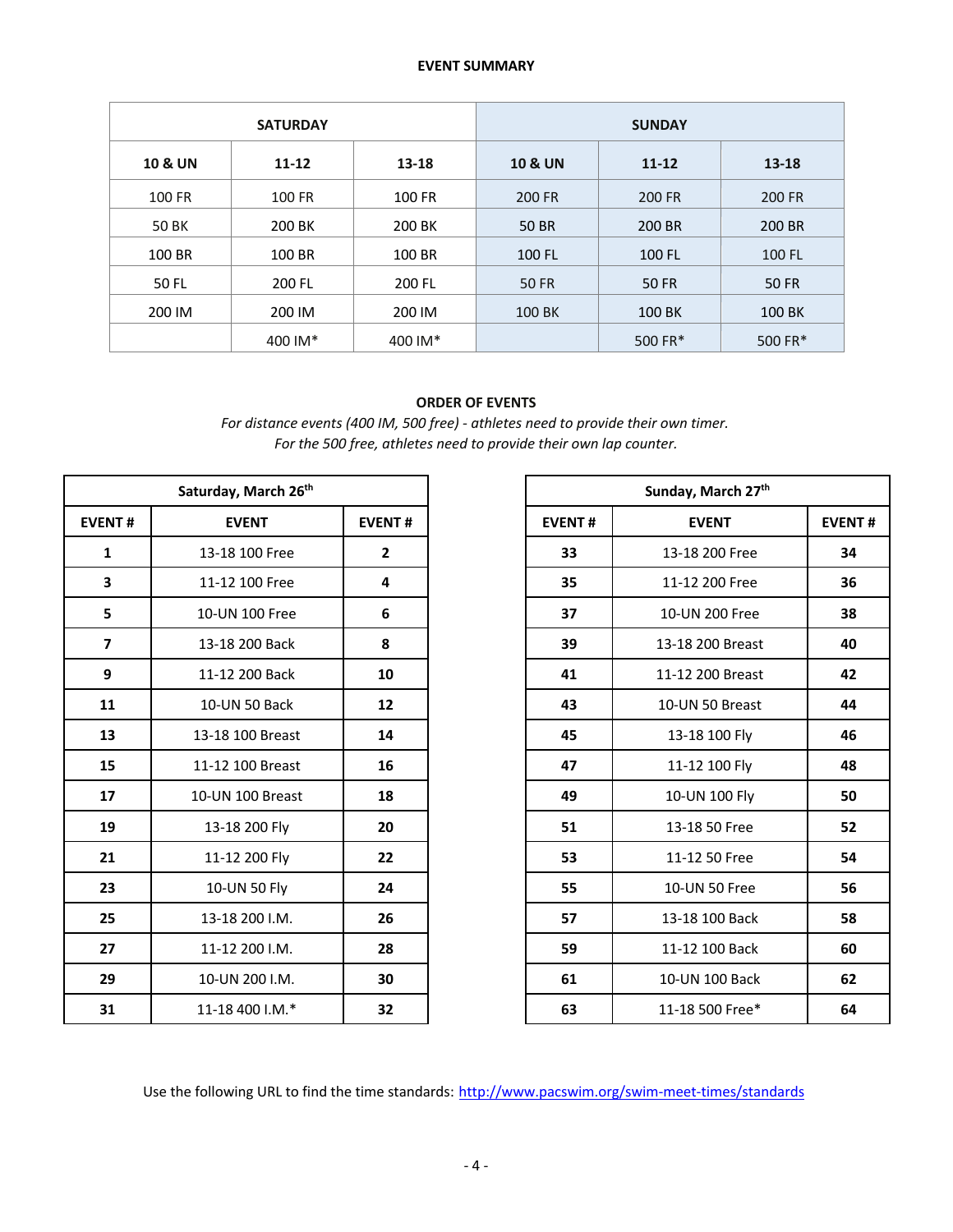## **EVENT SUMMARY**

|                    | <b>SATURDAY</b>    |         | <b>SUNDAY</b>      |              |              |  |  |
|--------------------|--------------------|---------|--------------------|--------------|--------------|--|--|
| <b>10 &amp; UN</b> | $11 - 12$<br>13-18 |         | <b>10 &amp; UN</b> | $11 - 12$    | $13 - 18$    |  |  |
| 100 FR             | 100 FR             | 100 FR  | 200 FR             | 200 FR       | 200 FR       |  |  |
| 50 BK              | 200 BK             | 200 BK  | <b>50 BR</b>       | 200 BR       | 200 BR       |  |  |
| 100 BR             | 100 BR             | 100 BR  | 100 FL             | 100 FL       | 100 FL       |  |  |
| 50 FL              | 200 FL             | 200 FL  | <b>50 FR</b>       | <b>50 FR</b> | <b>50 FR</b> |  |  |
| 200 IM             | 200 IM             | 200 IM  | 100 BK             | 100 BK       | 100 BK       |  |  |
|                    | 400 IM*            | 400 IM* |                    | 500 FR*      | 500 FR*      |  |  |

## **ORDER OF EVENTS**

*For distance events (400 IM, 500 free) - athletes need to provide their own timer. For the 500 free, athletes need to provide their own lap counter.*

|                         | Saturday, March 26th |                |               | Sunday, March 27th |               |
|-------------------------|----------------------|----------------|---------------|--------------------|---------------|
| <b>EVENT#</b>           | <b>EVENT</b>         | <b>EVENT#</b>  | <b>EVENT#</b> | <b>EVENT</b>       | <b>EVENT#</b> |
| 1                       | 13-18 100 Free       | $\overline{2}$ | 33            | 13-18 200 Free     | 34            |
| 3                       | 11-12 100 Free       | 4              | 35            | 11-12 200 Free     | 36            |
| 5                       | 10-UN 100 Free       | 6              | 37            | 10-UN 200 Free     | 38            |
| $\overline{\mathbf{z}}$ | 13-18 200 Back       | 8              | 39            | 13-18 200 Breast   | 40            |
| 9                       | 11-12 200 Back       | 10             | 41            | 11-12 200 Breast   | 42            |
| 11                      | 10-UN 50 Back        | 12             | 43            | 10-UN 50 Breast    | 44            |
| 13                      | 13-18 100 Breast     | 14             | 45            | 13-18 100 Fly      | 46            |
| 15                      | 11-12 100 Breast     | 16             | 47            | 11-12 100 Fly      | 48            |
| 17                      | 10-UN 100 Breast     | 18             | 49            | 10-UN 100 Fly      | 50            |
| 19                      | 13-18 200 Fly        | 20             | 51            | 13-18 50 Free      | 52            |
| 21                      | 11-12 200 Fly        | 22             | 53            | 11-12 50 Free      | 54            |
| 23                      | 10-UN 50 Fly         | 24             | 55            | 10-UN 50 Free      | 56            |
| 25                      | 13-18 200 I.M.       | 26             | 57            | 13-18 100 Back     | 58            |
| 27                      | 11-12 200 I.M.       | 28             | 59            | 11-12 100 Back     | 60            |
| 29                      | 10-UN 200 I.M.       | 30             | 61            | 10-UN 100 Back     | 62            |
| 31                      | 11-18 400 I.M.*      | 32             | 63            | 11-18 500 Free*    | 64            |

| Saturday, March 26th |                  |                |                                                                                                                                                   | Sunday, March 27th                                                                                                                                                                                                                                                                        |  |  |  |
|----------------------|------------------|----------------|---------------------------------------------------------------------------------------------------------------------------------------------------|-------------------------------------------------------------------------------------------------------------------------------------------------------------------------------------------------------------------------------------------------------------------------------------------|--|--|--|
| NT#                  | <b>EVENT</b>     | <b>EVENT#</b>  | <b>EVENT#</b>                                                                                                                                     | <b>EVENT</b><br>13-18 200 Free<br>11-12 200 Free<br>10-UN 200 Free<br>13-18 200 Breast<br>11-12 200 Breast<br>10-UN 50 Breast<br>13-18 100 Fly<br>11-12 100 Fly<br>10-UN 100 Fly<br>13-18 50 Free<br>11-12 50 Free<br>10-UN 50 Free<br>13-18 100 Back<br>11-12 100 Back<br>10-UN 100 Back |  |  |  |
| 1                    | 13-18 100 Free   | $\overline{2}$ | 33                                                                                                                                                |                                                                                                                                                                                                                                                                                           |  |  |  |
|                      | 11-12 100 Free   | 4              | 35                                                                                                                                                |                                                                                                                                                                                                                                                                                           |  |  |  |
|                      | 10-UN 100 Free   | 6              | 37<br>39<br>8<br>10<br>41<br>12<br>43<br>45<br>14<br>16<br>47<br>18<br>49<br>20<br>51<br>22<br>53<br>24<br>55<br>26<br>57<br>28<br>59<br>30<br>61 |                                                                                                                                                                                                                                                                                           |  |  |  |
|                      | 13-18 200 Back   |                |                                                                                                                                                   |                                                                                                                                                                                                                                                                                           |  |  |  |
|                      | 11-12 200 Back   |                |                                                                                                                                                   |                                                                                                                                                                                                                                                                                           |  |  |  |
|                      | 10-UN 50 Back    |                |                                                                                                                                                   |                                                                                                                                                                                                                                                                                           |  |  |  |
|                      | 13-18 100 Breast |                |                                                                                                                                                   |                                                                                                                                                                                                                                                                                           |  |  |  |
|                      | 11-12 100 Breast |                |                                                                                                                                                   |                                                                                                                                                                                                                                                                                           |  |  |  |
|                      | 10-UN 100 Breast |                |                                                                                                                                                   |                                                                                                                                                                                                                                                                                           |  |  |  |
|                      | 13-18 200 Fly    |                |                                                                                                                                                   |                                                                                                                                                                                                                                                                                           |  |  |  |
|                      | 11-12 200 Fly    |                |                                                                                                                                                   |                                                                                                                                                                                                                                                                                           |  |  |  |
| 23                   | 10-UN 50 Fly     |                |                                                                                                                                                   |                                                                                                                                                                                                                                                                                           |  |  |  |
| 25                   | 13-18 200 I.M.   |                |                                                                                                                                                   |                                                                                                                                                                                                                                                                                           |  |  |  |
|                      | 11-12 200 I.M.   |                |                                                                                                                                                   |                                                                                                                                                                                                                                                                                           |  |  |  |
|                      | 10-UN 200 I.M.   |                |                                                                                                                                                   |                                                                                                                                                                                                                                                                                           |  |  |  |
| 31                   | 11-18 400 I.M.*  | 32             | 63<br>11-18 500 Free*                                                                                                                             |                                                                                                                                                                                                                                                                                           |  |  |  |

Use the following URL to find the time standards: http://www.pacswim.org/swim-meet-times/standards